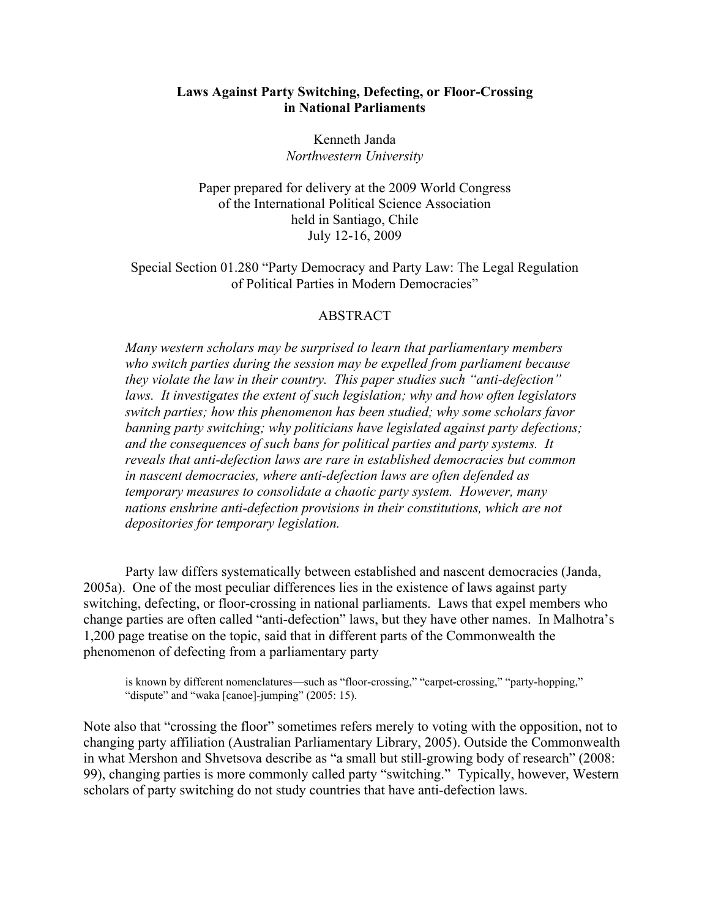## Laws Against Party Switching, Defecting, or Floor-Crossing in National Parliaments

Kenneth Janda *Northwestern University*

Paper prepared for delivery at the 2009 World Congress of the International Political Science Association held in Santiago, Chile July 12-16, 2009

Special Section 01.280 "Party Democracy and Party Law: The Legal Regulation of Political Parties in Modern Democracies"

## ABSTRACT

*Many western scholars may be surprised to learn that parliamentary members who switch parties during the session may be expelled from parliament because they violate the law in their country. This paper studies such "anti-defection" laws. It investigates the extent of such legislation; why and how often legislators switch parties; how this phenomenon has been studied; why some scholars favor banning party switching; why politicians have legislated against party defections; and the consequences of such bans for political parties and party systems. It reveals that anti-defection laws are rare in established democracies but common in nascent democracies, where anti-defection laws are often defended as temporary measures to consolidate a chaotic party system. However, many nations enshrine anti-defection provisions in their constitutions, which are not depositories for temporary legislation.*

Party law differs systematically between established and nascent democracies (Janda, 2005a). One of the most peculiar differences lies in the existence of laws against party switching, defecting, or floor-crossing in national parliaments. Laws that expel members who change parties are often called "anti-defection" laws, but they have other names. In Malhotra's 1,200 page treatise on the topic, said that in different parts of the Commonwealth the phenomenon of defecting from a parliamentary party

is known by different nomenclatures—such as "floor-crossing," "carpet-crossing," "party-hopping," "dispute" and "waka [canoe]-jumping" (2005: 15).

Note also that "crossing the floor" sometimes refers merely to voting with the opposition, not to changing party affiliation (Australian Parliamentary Library, 2005). Outside the Commonwealth in what Mershon and Shvetsova describe as "a small but still-growing body of research" (2008: 99), changing parties is more commonly called party "switching." Typically, however, Western scholars of party switching do not study countries that have anti-defection laws.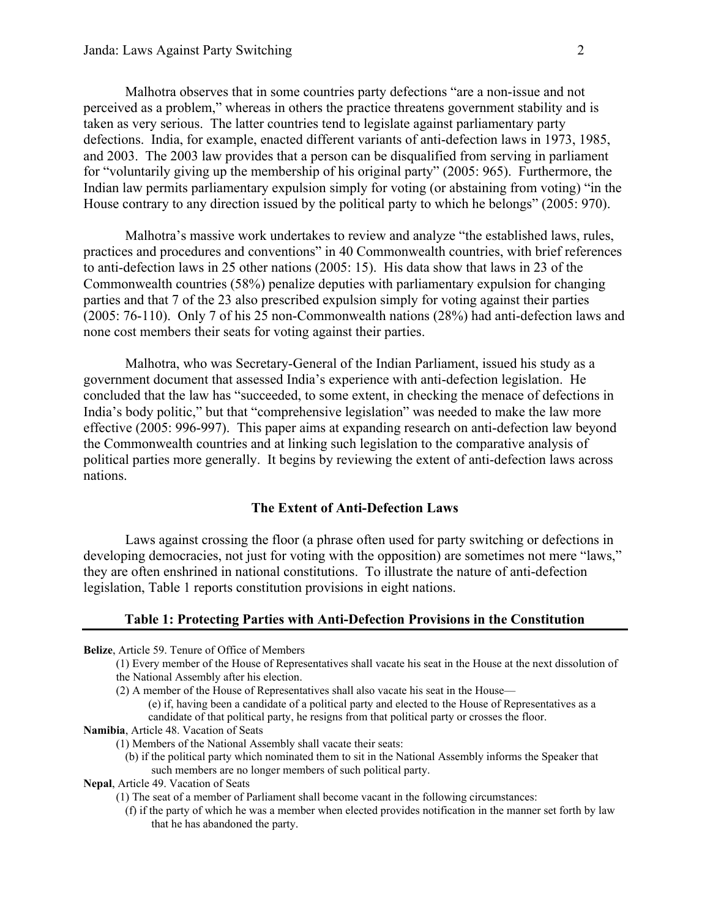Malhotra observes that in some countries party defections "are a non-issue and not perceived as a problem," whereas in others the practice threatens government stability and is taken as very serious. The latter countries tend to legislate against parliamentary party defections. India, for example, enacted different variants of anti-defection laws in 1973, 1985, and 2003. The 2003 law provides that a person can be disqualified from serving in parliament for "voluntarily giving up the membership of his original party" (2005: 965). Furthermore, the Indian law permits parliamentary expulsion simply for voting (or abstaining from voting) "in the House contrary to any direction issued by the political party to which he belongs" (2005: 970).

Malhotra's massive work undertakes to review and analyze "the established laws, rules, practices and procedures and conventions" in 40 Commonwealth countries, with brief references to anti-defection laws in 25 other nations (2005: 15). His data show that laws in 23 of the Commonwealth countries (58%) penalize deputies with parliamentary expulsion for changing parties and that 7 of the 23 also prescribed expulsion simply for voting against their parties (2005: 76-110). Only 7 of his 25 non-Commonwealth nations (28%) had anti-defection laws and none cost members their seats for voting against their parties.

Malhotra, who was Secretary-General of the Indian Parliament, issued his study as a government document that assessed India's experience with anti-defection legislation. He concluded that the law has "succeeded, to some extent, in checking the menace of defections in India's body politic," but that "comprehensive legislation" was needed to make the law more effective (2005: 996-997). This paper aims at expanding research on anti-defection law beyond the Commonwealth countries and at linking such legislation to the comparative analysis of political parties more generally. It begins by reviewing the extent of anti-defection laws across nations.

## The Extent of Anti-Defection Laws

Laws against crossing the floor (a phrase often used for party switching or defections in developing democracies, not just for voting with the opposition) are sometimes not mere "laws," they are often enshrined in national constitutions. To illustrate the nature of anti-defection legislation, Table 1 reports constitution provisions in eight nations.

# Table 1: Protecting Parties with Anti-Defection Provisions in the Constitution

- Belize, Article 59. Tenure of Office of Members
	- (1) Every member of the House of Representatives shall vacate his seat in the House at the next dissolution of the National Assembly after his election.
	- (2) A member of the House of Representatives shall also vacate his seat in the House— (e) if, having been a candidate of a political party and elected to the House of Representatives as a candidate of that political party, he resigns from that political party or crosses the floor.
- Namibia, Article 48. Vacation of Seats
	- (1) Members of the National Assembly shall vacate their seats:
		- (b) if the political party which nominated them to sit in the National Assembly informs the Speaker that such members are no longer members of such political party.
- Nepal, Article 49. Vacation of Seats
	- (1) The seat of a member of Parliament shall become vacant in the following circumstances:
		- (f) if the party of which he was a member when elected provides notification in the manner set forth by law that he has abandoned the party.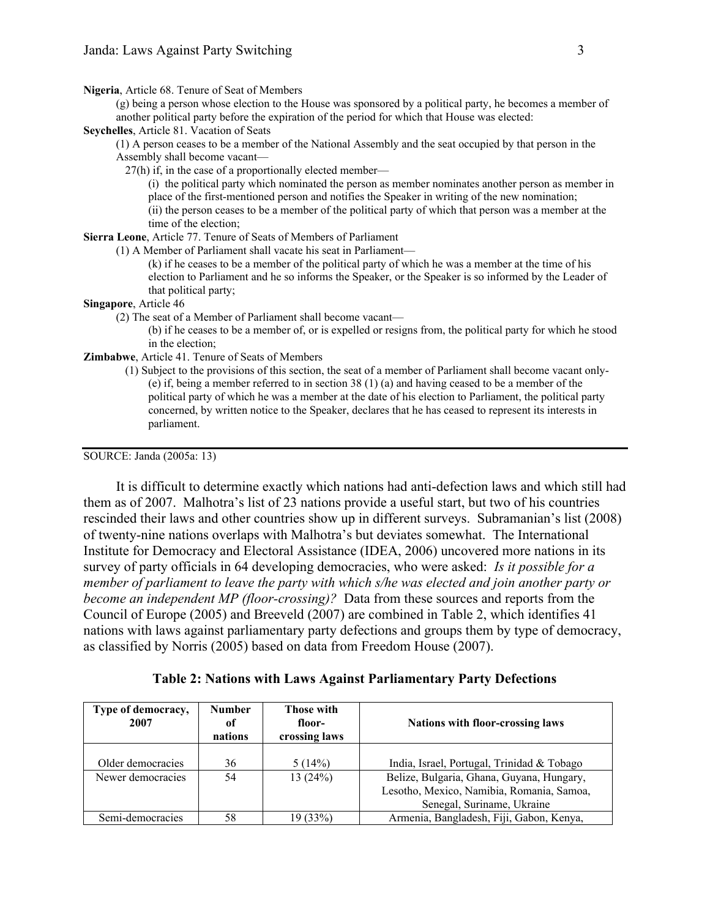Nigeria, Article 68. Tenure of Seat of Members

(g) being a person whose election to the House was sponsored by a political party, he becomes a member of another political party before the expiration of the period for which that House was elected:

#### Seychelles, Article 81. Vacation of Seats

(1) A person ceases to be a member of the National Assembly and the seat occupied by that person in the Assembly shall become vacant—

27(h) if, in the case of a proportionally elected member—

(i) the political party which nominated the person as member nominates another person as member in place of the first-mentioned person and notifies the Speaker in writing of the new nomination; (ii) the person ceases to be a member of the political party of which that person was a member at the time of the election;

## Sierra Leone, Article 77. Tenure of Seats of Members of Parliament

(1) A Member of Parliament shall vacate his seat in Parliament—

(k) if he ceases to be a member of the political party of which he was a member at the time of his election to Parliament and he so informs the Speaker, or the Speaker is so informed by the Leader of that political party;

### Singapore, Article 46

(2) The seat of a Member of Parliament shall become vacant—

(b) if he ceases to be a member of, or is expelled or resigns from, the political party for which he stood in the election;

### Zimbabwe, Article 41. Tenure of Seats of Members

(1) Subject to the provisions of this section, the seat of a member of Parliament shall become vacant only- (e) if, being a member referred to in section 38 (1) (a) and having ceased to be a member of the political party of which he was a member at the date of his election to Parliament, the political party concerned, by written notice to the Speaker, declares that he has ceased to represent its interests in parliament.

#### SOURCE: Janda (2005a: 13)

It is difficult to determine exactly which nations had anti-defection laws and which still had them as of 2007. Malhotra's list of 23 nations provide a useful start, but two of his countries rescinded their laws and other countries show up in different surveys. Subramanian's list (2008) of twenty-nine nations overlaps with Malhotra's but deviates somewhat. The International Institute for Democracy and Electoral Assistance (IDEA, 2006) uncovered more nations in its survey of party officials in 64 developing democracies, who were asked: *Is it possible for a member of parliament to leave the party with which s/he was elected and join another party or become an independent MP (floor-crossing)?* Data from these sources and reports from the Council of Europe (2005) and Breeveld (2007) are combined in Table 2, which identifies 41 nations with laws against parliamentary party defections and groups them by type of democracy, as classified by Norris (2005) based on data from Freedom House (2007).

Table 2: Nations with Laws Against Parliamentary Party Defections

| Type of democracy,<br>2007 | <b>Number</b><br>of<br>nations | <b>Those with</b><br>floor-<br>crossing laws | <b>Nations with floor-crossing laws</b>    |  |
|----------------------------|--------------------------------|----------------------------------------------|--------------------------------------------|--|
|                            |                                |                                              |                                            |  |
| Older democracies          | 36                             | 5(14%)                                       | India, Israel, Portugal, Trinidad & Tobago |  |
| Newer democracies          | 54                             | 13(24%)                                      | Belize, Bulgaria, Ghana, Guyana, Hungary,  |  |
|                            |                                |                                              | Lesotho, Mexico, Namibia, Romania, Samoa,  |  |
|                            |                                |                                              | Senegal, Suriname, Ukraine                 |  |
| Semi-democracies           | 58                             | 19 (33%)                                     | Armenia, Bangladesh, Fiji, Gabon, Kenya,   |  |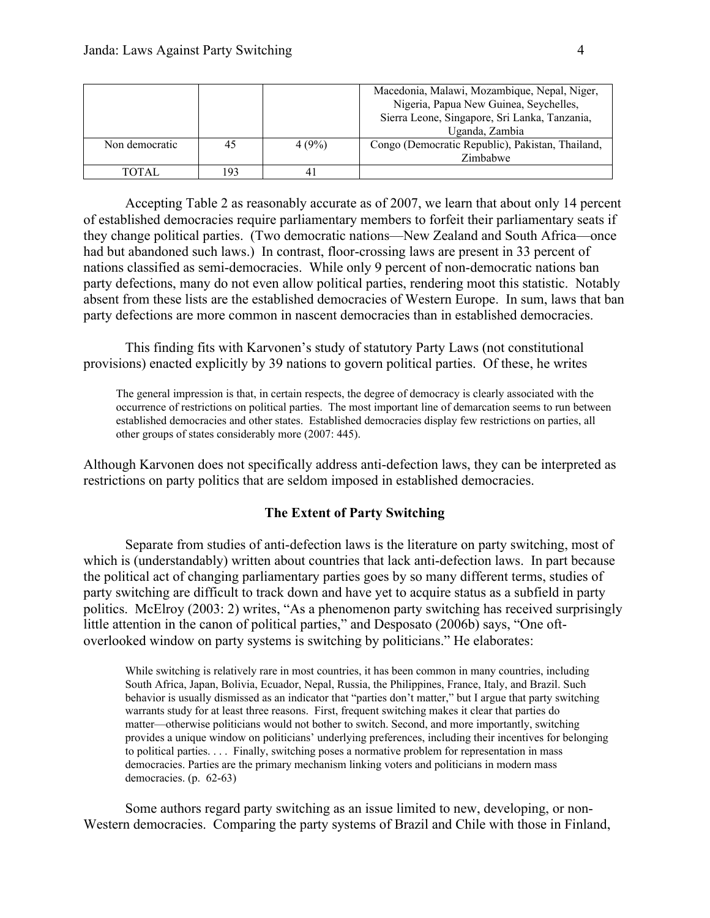|                |    |       | Macedonia, Malawi, Mozambique, Nepal, Niger,<br>Nigeria, Papua New Guinea, Seychelles,<br>Sierra Leone, Singapore, Sri Lanka, Tanzania, |
|----------------|----|-------|-----------------------------------------------------------------------------------------------------------------------------------------|
|                |    |       | Uganda, Zambia                                                                                                                          |
| Non democratic | 45 | 4(9%) | Congo (Democratic Republic), Pakistan, Thailand,                                                                                        |
|                |    |       | Zimbabwe                                                                                                                                |
| TOTAL          |    |       |                                                                                                                                         |

Accepting Table 2 as reasonably accurate as of 2007, we learn that about only 14 percent of established democracies require parliamentary members to forfeit their parliamentary seats if they change political parties. (Two democratic nations—New Zealand and South Africa—once had but abandoned such laws.) In contrast, floor-crossing laws are present in 33 percent of nations classified as semi-democracies. While only 9 percent of non-democratic nations ban party defections, many do not even allow political parties, rendering moot this statistic. Notably absent from these lists are the established democracies of Western Europe. In sum, laws that ban party defections are more common in nascent democracies than in established democracies.

This finding fits with Karvonen's study of statutory Party Laws (not constitutional provisions) enacted explicitly by 39 nations to govern political parties. Of these, he writes

The general impression is that, in certain respects, the degree of democracy is clearly associated with the occurrence of restrictions on political parties. The most important line of demarcation seems to run between established democracies and other states. Established democracies display few restrictions on parties, all other groups of states considerably more (2007: 445).

Although Karvonen does not specifically address anti-defection laws, they can be interpreted as restrictions on party politics that are seldom imposed in established democracies.

## The Extent of Party Switching

Separate from studies of anti-defection laws is the literature on party switching, most of which is (understandably) written about countries that lack anti-defection laws. In part because the political act of changing parliamentary parties goes by so many different terms, studies of party switching are difficult to track down and have yet to acquire status as a subfield in party politics. McElroy (2003: 2) writes, "As a phenomenon party switching has received surprisingly little attention in the canon of political parties," and Desposato (2006b) says, "One oftoverlooked window on party systems is switching by politicians." He elaborates:

While switching is relatively rare in most countries, it has been common in many countries, including South Africa, Japan, Bolivia, Ecuador, Nepal, Russia, the Philippines, France, Italy, and Brazil. Such behavior is usually dismissed as an indicator that "parties don't matter," but I argue that party switching warrants study for at least three reasons. First, frequent switching makes it clear that parties do matter—otherwise politicians would not bother to switch. Second, and more importantly, switching provides a unique window on politicians' underlying preferences, including their incentives for belonging to political parties. . . . Finally, switching poses a normative problem for representation in mass democracies. Parties are the primary mechanism linking voters and politicians in modern mass democracies. (p. 62-63)

Some authors regard party switching as an issue limited to new, developing, or non-Western democracies. Comparing the party systems of Brazil and Chile with those in Finland,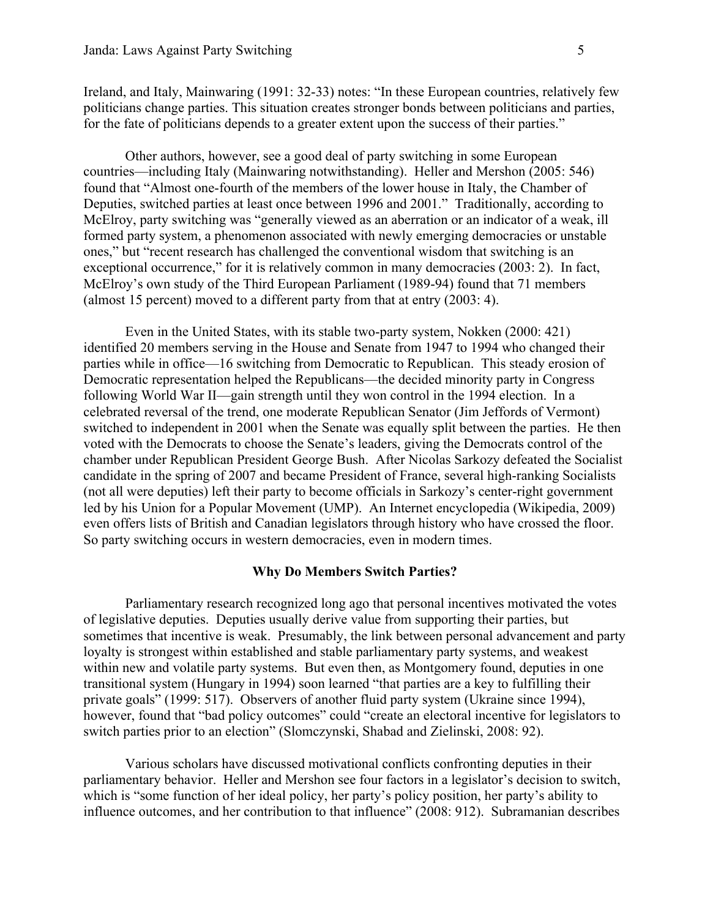Ireland, and Italy, Mainwaring (1991: 32-33) notes: "In these European countries, relatively few politicians change parties. This situation creates stronger bonds between politicians and parties, for the fate of politicians depends to a greater extent upon the success of their parties."

Other authors, however, see a good deal of party switching in some European countries—including Italy (Mainwaring notwithstanding). Heller and Mershon (2005: 546) found that "Almost one-fourth of the members of the lower house in Italy, the Chamber of Deputies, switched parties at least once between 1996 and 2001." Traditionally, according to McElroy, party switching was "generally viewed as an aberration or an indicator of a weak, ill formed party system, a phenomenon associated with newly emerging democracies or unstable ones," but "recent research has challenged the conventional wisdom that switching is an exceptional occurrence," for it is relatively common in many democracies (2003: 2). In fact, McElroy's own study of the Third European Parliament (1989-94) found that 71 members (almost 15 percent) moved to a different party from that at entry (2003: 4).

Even in the United States, with its stable two-party system, Nokken (2000: 421) identified 20 members serving in the House and Senate from 1947 to 1994 who changed their parties while in office—16 switching from Democratic to Republican. This steady erosion of Democratic representation helped the Republicans—the decided minority party in Congress following World War II—gain strength until they won control in the 1994 election. In a celebrated reversal of the trend, one moderate Republican Senator (Jim Jeffords of Vermont) switched to independent in 2001 when the Senate was equally split between the parties. He then voted with the Democrats to choose the Senate's leaders, giving the Democrats control of the chamber under Republican President George Bush. After Nicolas Sarkozy defeated the Socialist candidate in the spring of 2007 and became President of France, several high-ranking Socialists (not all were deputies) left their party to become officials in Sarkozy's center-right government led by his Union for a Popular Movement (UMP). An Internet encyclopedia (Wikipedia, 2009) even offers lists of British and Canadian legislators through history who have crossed the floor. So party switching occurs in western democracies, even in modern times.

### Why Do Members Switch Parties?

Parliamentary research recognized long ago that personal incentives motivated the votes of legislative deputies. Deputies usually derive value from supporting their parties, but sometimes that incentive is weak. Presumably, the link between personal advancement and party loyalty is strongest within established and stable parliamentary party systems, and weakest within new and volatile party systems. But even then, as Montgomery found, deputies in one transitional system (Hungary in 1994) soon learned "that parties are a key to fulfilling their private goals" (1999: 517). Observers of another fluid party system (Ukraine since 1994), however, found that "bad policy outcomes" could "create an electoral incentive for legislators to switch parties prior to an election" (Slomczynski, Shabad and Zielinski, 2008: 92).

Various scholars have discussed motivational conflicts confronting deputies in their parliamentary behavior. Heller and Mershon see four factors in a legislator's decision to switch, which is "some function of her ideal policy, her party's policy position, her party's ability to influence outcomes, and her contribution to that influence" (2008: 912). Subramanian describes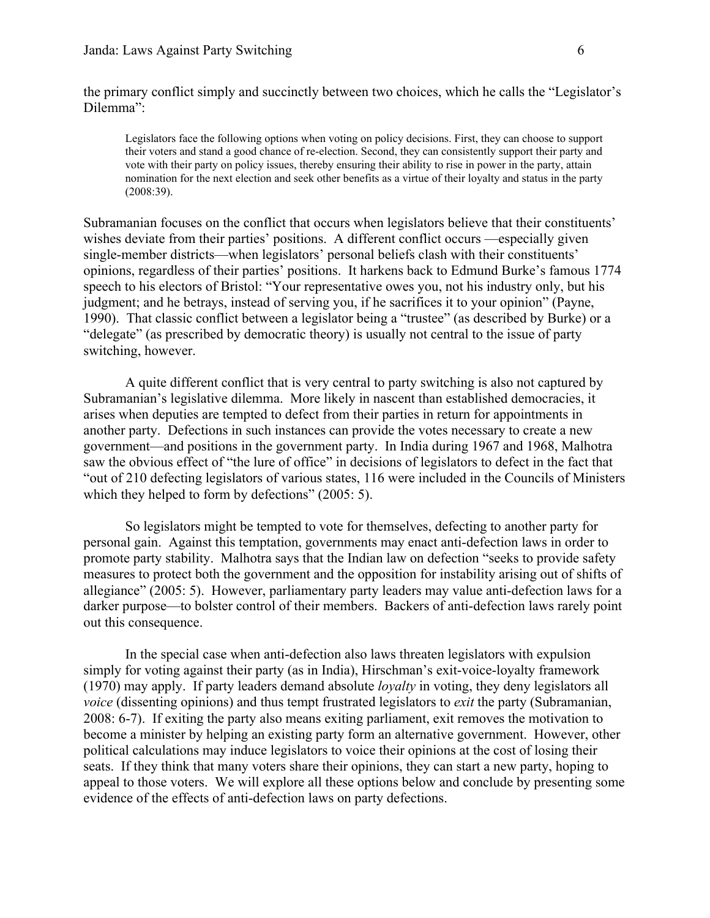the primary conflict simply and succinctly between two choices, which he calls the "Legislator's Dilemma":

Legislators face the following options when voting on policy decisions. First, they can choose to support their voters and stand a good chance of re-election. Second, they can consistently support their party and vote with their party on policy issues, thereby ensuring their ability to rise in power in the party, attain nomination for the next election and seek other benefits as a virtue of their loyalty and status in the party (2008:39).

Subramanian focuses on the conflict that occurs when legislators believe that their constituents' wishes deviate from their parties' positions. A different conflict occurs —especially given single-member districts—when legislators' personal beliefs clash with their constituents' opinions, regardless of their parties' positions. It harkens back to Edmund Burke's famous 1774 speech to his electors of Bristol: "Your representative owes you, not his industry only, but his judgment; and he betrays, instead of serving you, if he sacrifices it to your opinion" (Payne, 1990). That classic conflict between a legislator being a "trustee" (as described by Burke) or a "delegate" (as prescribed by democratic theory) is usually not central to the issue of party switching, however.

A quite different conflict that is very central to party switching is also not captured by Subramanian's legislative dilemma. More likely in nascent than established democracies, it arises when deputies are tempted to defect from their parties in return for appointments in another party. Defections in such instances can provide the votes necessary to create a new government—and positions in the government party. In India during 1967 and 1968, Malhotra saw the obvious effect of "the lure of office" in decisions of legislators to defect in the fact that "out of 210 defecting legislators of various states, 116 were included in the Councils of Ministers which they helped to form by defections" (2005: 5).

So legislators might be tempted to vote for themselves, defecting to another party for personal gain. Against this temptation, governments may enact anti-defection laws in order to promote party stability. Malhotra says that the Indian law on defection "seeks to provide safety measures to protect both the government and the opposition for instability arising out of shifts of allegiance" (2005: 5). However, parliamentary party leaders may value anti-defection laws for a darker purpose—to bolster control of their members. Backers of anti-defection laws rarely point out this consequence.

In the special case when anti-defection also laws threaten legislators with expulsion simply for voting against their party (as in India), Hirschman's exit-voice-loyalty framework (1970) may apply. If party leaders demand absolute *loyalty* in voting, they deny legislators all *voice* (dissenting opinions) and thus tempt frustrated legislators to *exit* the party (Subramanian, 2008: 6-7). If exiting the party also means exiting parliament, exit removes the motivation to become a minister by helping an existing party form an alternative government. However, other political calculations may induce legislators to voice their opinions at the cost of losing their seats. If they think that many voters share their opinions, they can start a new party, hoping to appeal to those voters. We will explore all these options below and conclude by presenting some evidence of the effects of anti-defection laws on party defections.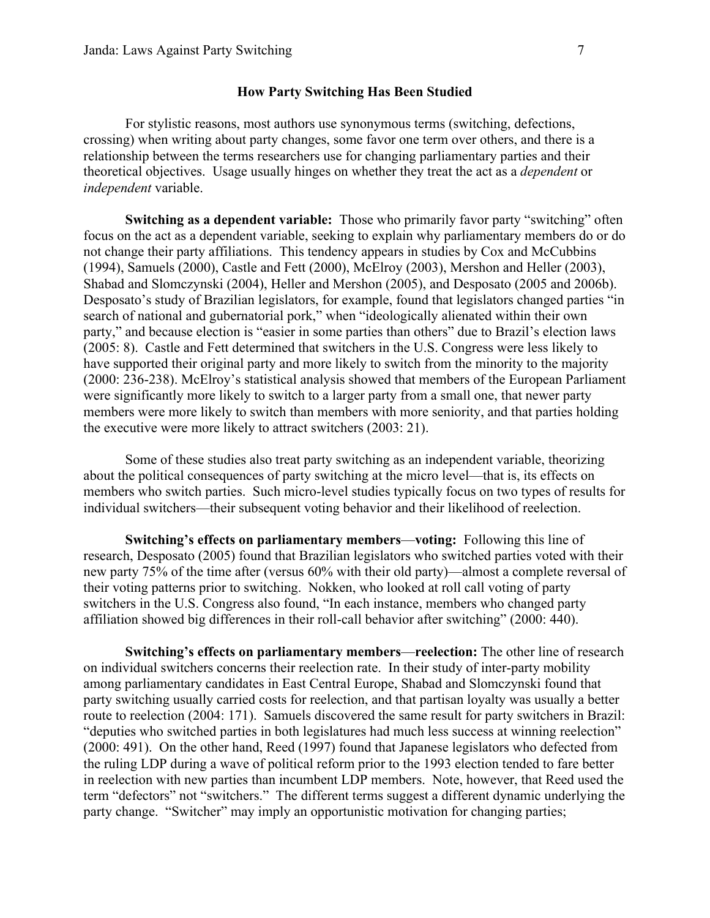### How Party Switching Has Been Studied

For stylistic reasons, most authors use synonymous terms (switching, defections, crossing) when writing about party changes, some favor one term over others, and there is a relationship between the terms researchers use for changing parliamentary parties and their theoretical objectives. Usage usually hinges on whether they treat the act as a *dependent* or *independent* variable.

Switching as a dependent variable: Those who primarily favor party "switching" often focus on the act as a dependent variable, seeking to explain why parliamentary members do or do not change their party affiliations. This tendency appears in studies by Cox and McCubbins (1994), Samuels (2000), Castle and Fett (2000), McElroy (2003), Mershon and Heller (2003), Shabad and Slomczynski (2004), Heller and Mershon (2005), and Desposato (2005 and 2006b). Desposato's study of Brazilian legislators, for example, found that legislators changed parties "in search of national and gubernatorial pork," when "ideologically alienated within their own party," and because election is "easier in some parties than others" due to Brazil's election laws (2005: 8). Castle and Fett determined that switchers in the U.S. Congress were less likely to have supported their original party and more likely to switch from the minority to the majority (2000: 236-238). McElroy's statistical analysis showed that members of the European Parliament were significantly more likely to switch to a larger party from a small one, that newer party members were more likely to switch than members with more seniority, and that parties holding the executive were more likely to attract switchers (2003: 21).

Some of these studies also treat party switching as an independent variable, theorizing about the political consequences of party switching at the micro level—that is, its effects on members who switch parties. Such micro-level studies typically focus on two types of results for individual switchers—their subsequent voting behavior and their likelihood of reelection.

Switching's effects on parliamentary members—voting:Following this line of research, Desposato (2005) found that Brazilian legislators who switched parties voted with their new party 75% of the time after (versus 60% with their old party)—almost a complete reversal of their voting patterns prior to switching. Nokken, who looked at roll call voting of party switchers in the U.S. Congress also found, "In each instance, members who changed party affiliation showed big differences in their roll-call behavior after switching" (2000: 440).

Switching's effects on parliamentary members—reelection: The other line of research on individual switchers concerns their reelection rate. In their study of inter-party mobility among parliamentary candidates in East Central Europe, Shabad and Slomczynski found that party switching usually carried costs for reelection, and that partisan loyalty was usually a better route to reelection (2004: 171). Samuels discovered the same result for party switchers in Brazil: "deputies who switched parties in both legislatures had much less success at winning reelection" (2000: 491). On the other hand, Reed (1997) found that Japanese legislators who defected from the ruling LDP during a wave of political reform prior to the 1993 election tended to fare better in reelection with new parties than incumbent LDP members. Note, however, that Reed used the term "defectors" not "switchers." The different terms suggest a different dynamic underlying the party change. "Switcher" may imply an opportunistic motivation for changing parties;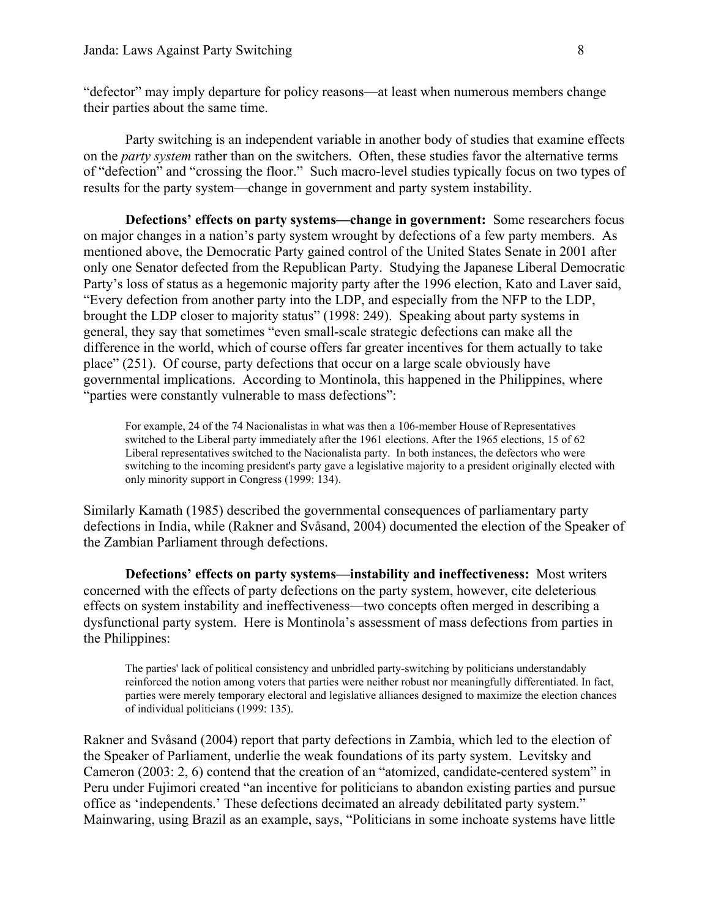"defector" may imply departure for policy reasons—at least when numerous members change their parties about the same time.

Party switching is an independent variable in another body of studies that examine effects on the *party system* rather than on the switchers. Often, these studies favor the alternative terms of "defection" and "crossing the floor." Such macro-level studies typically focus on two types of results for the party system—change in government and party system instability.

Defections' effects on party systems—change in government: Some researchers focus on major changes in a nation's party system wrought by defections of a few party members. As mentioned above, the Democratic Party gained control of the United States Senate in 2001 after only one Senator defected from the Republican Party. Studying the Japanese Liberal Democratic Party's loss of status as a hegemonic majority party after the 1996 election, Kato and Laver said, "Every defection from another party into the LDP, and especially from the NFP to the LDP, brought the LDP closer to majority status" (1998: 249). Speaking about party systems in general, they say that sometimes "even small-scale strategic defections can make all the difference in the world, which of course offers far greater incentives for them actually to take place" (251). Of course, party defections that occur on a large scale obviously have governmental implications. According to Montinola, this happened in the Philippines, where "parties were constantly vulnerable to mass defections":

For example, 24 of the 74 Nacionalistas in what was then a 106-member House of Representatives switched to the Liberal party immediately after the 1961 elections. After the 1965 elections, 15 of 62 Liberal representatives switched to the Nacionalista party. In both instances, the defectors who were switching to the incoming president's party gave a legislative majority to a president originally elected with only minority support in Congress (1999: 134).

Similarly Kamath (1985) described the governmental consequences of parliamentary party defections in India, while (Rakner and Svåsand, 2004) documented the election of the Speaker of the Zambian Parliament through defections.

Defections' effects on party systems—instability and ineffectiveness: Most writers concerned with the effects of party defections on the party system, however, cite deleterious effects on system instability and ineffectiveness—two concepts often merged in describing a dysfunctional party system. Here is Montinola's assessment of mass defections from parties in the Philippines:

The parties' lack of political consistency and unbridled party-switching by politicians understandably reinforced the notion among voters that parties were neither robust nor meaningfully differentiated. In fact, parties were merely temporary electoral and legislative alliances designed to maximize the election chances of individual politicians (1999: 135).

Rakner and Svåsand (2004) report that party defections in Zambia, which led to the election of the Speaker of Parliament, underlie the weak foundations of its party system. Levitsky and Cameron (2003: 2, 6) contend that the creation of an "atomized, candidate-centered system" in Peru under Fujimori created "an incentive for politicians to abandon existing parties and pursue office as 'independents.' These defections decimated an already debilitated party system." Mainwaring, using Brazil as an example, says, "Politicians in some inchoate systems have little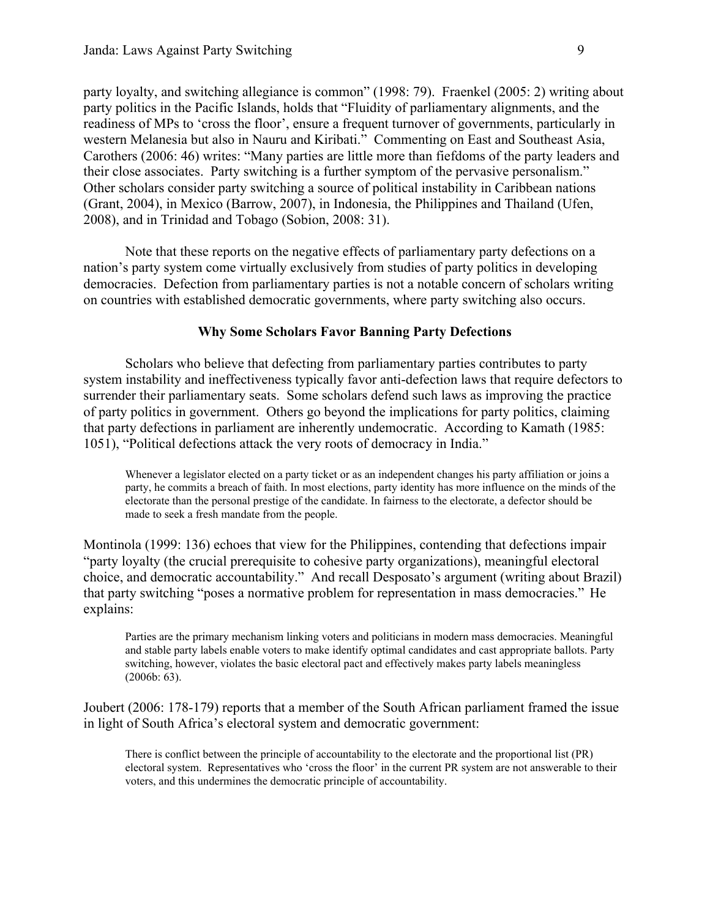party loyalty, and switching allegiance is common" (1998: 79). Fraenkel (2005: 2) writing about party politics in the Pacific Islands, holds that "Fluidity of parliamentary alignments, and the readiness of MPs to 'cross the floor', ensure a frequent turnover of governments, particularly in western Melanesia but also in Nauru and Kiribati." Commenting on East and Southeast Asia, Carothers (2006: 46) writes: "Many parties are little more than fiefdoms of the party leaders and their close associates. Party switching is a further symptom of the pervasive personalism." Other scholars consider party switching a source of political instability in Caribbean nations (Grant, 2004), in Mexico (Barrow, 2007), in Indonesia, the Philippines and Thailand (Ufen, 2008), and in Trinidad and Tobago (Sobion, 2008: 31).

Note that these reports on the negative effects of parliamentary party defections on a nation's party system come virtually exclusively from studies of party politics in developing democracies. Defection from parliamentary parties is not a notable concern of scholars writing on countries with established democratic governments, where party switching also occurs.

## Why Some Scholars Favor Banning Party Defections

Scholars who believe that defecting from parliamentary parties contributes to party system instability and ineffectiveness typically favor anti-defection laws that require defectors to surrender their parliamentary seats. Some scholars defend such laws as improving the practice of party politics in government. Others go beyond the implications for party politics, claiming that party defections in parliament are inherently undemocratic. According to Kamath (1985: 1051), "Political defections attack the very roots of democracy in India."

Whenever a legislator elected on a party ticket or as an independent changes his party affiliation or joins a party, he commits a breach of faith. In most elections, party identity has more influence on the minds of the electorate than the personal prestige of the candidate. In fairness to the electorate, a defector should be made to seek a fresh mandate from the people.

Montinola (1999: 136) echoes that view for the Philippines, contending that defections impair "party loyalty (the crucial prerequisite to cohesive party organizations), meaningful electoral choice, and democratic accountability." And recall Desposato's argument (writing about Brazil) that party switching "poses a normative problem for representation in mass democracies." He explains:

Parties are the primary mechanism linking voters and politicians in modern mass democracies. Meaningful and stable party labels enable voters to make identify optimal candidates and cast appropriate ballots. Party switching, however, violates the basic electoral pact and effectively makes party labels meaningless (2006b: 63).

Joubert (2006: 178-179) reports that a member of the South African parliament framed the issue in light of South Africa's electoral system and democratic government:

There is conflict between the principle of accountability to the electorate and the proportional list (PR) electoral system. Representatives who 'cross the floor' in the current PR system are not answerable to their voters, and this undermines the democratic principle of accountability.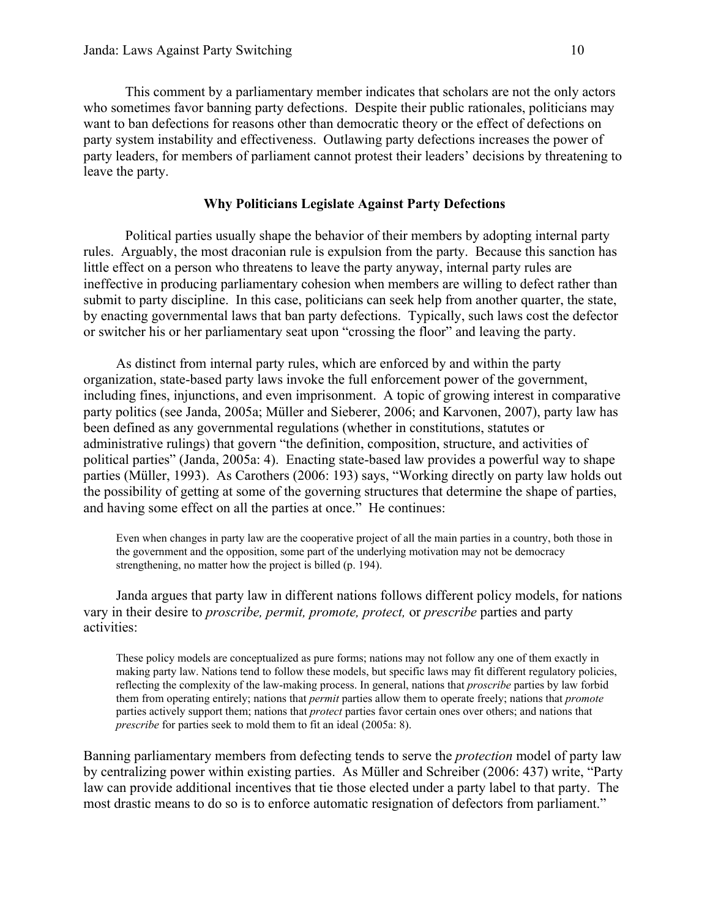This comment by a parliamentary member indicates that scholars are not the only actors who sometimes favor banning party defections. Despite their public rationales, politicians may want to ban defections for reasons other than democratic theory or the effect of defections on party system instability and effectiveness. Outlawing party defections increases the power of party leaders, for members of parliament cannot protest their leaders' decisions by threatening to leave the party.

## Why Politicians Legislate Against Party Defections

Political parties usually shape the behavior of their members by adopting internal party rules. Arguably, the most draconian rule is expulsion from the party. Because this sanction has little effect on a person who threatens to leave the party anyway, internal party rules are ineffective in producing parliamentary cohesion when members are willing to defect rather than submit to party discipline. In this case, politicians can seek help from another quarter, the state, by enacting governmental laws that ban party defections. Typically, such laws cost the defector or switcher his or her parliamentary seat upon "crossing the floor" and leaving the party.

As distinct from internal party rules, which are enforced by and within the party organization, state-based party laws invoke the full enforcement power of the government, including fines, injunctions, and even imprisonment. A topic of growing interest in comparative party politics (see Janda, 2005a; Müller and Sieberer, 2006; and Karvonen, 2007), party law has been defined as any governmental regulations (whether in constitutions, statutes or administrative rulings) that govern "the definition, composition, structure, and activities of political parties" (Janda, 2005a: 4). Enacting state-based law provides a powerful way to shape parties (Müller, 1993). As Carothers (2006: 193) says, "Working directly on party law holds out the possibility of getting at some of the governing structures that determine the shape of parties, and having some effect on all the parties at once." He continues:

Even when changes in party law are the cooperative project of all the main parties in a country, both those in the government and the opposition, some part of the underlying motivation may not be democracy strengthening, no matter how the project is billed (p. 194).

Janda argues that party law in different nations follows different policy models, for nations vary in their desire to *proscribe, permit, promote, protect,* or *prescribe* parties and party activities:

These policy models are conceptualized as pure forms; nations may not follow any one of them exactly in making party law. Nations tend to follow these models, but specific laws may fit different regulatory policies, reflecting the complexity of the law-making process. In general, nations that *proscribe* parties by law forbid them from operating entirely; nations that *permit* parties allow them to operate freely; nations that *promote* parties actively support them; nations that *protect* parties favor certain ones over others; and nations that *prescribe* for parties seek to mold them to fit an ideal (2005a: 8).

Banning parliamentary members from defecting tends to serve the *protection* model of party law by centralizing power within existing parties. As Müller and Schreiber (2006: 437) write, "Party law can provide additional incentives that tie those elected under a party label to that party. The most drastic means to do so is to enforce automatic resignation of defectors from parliament."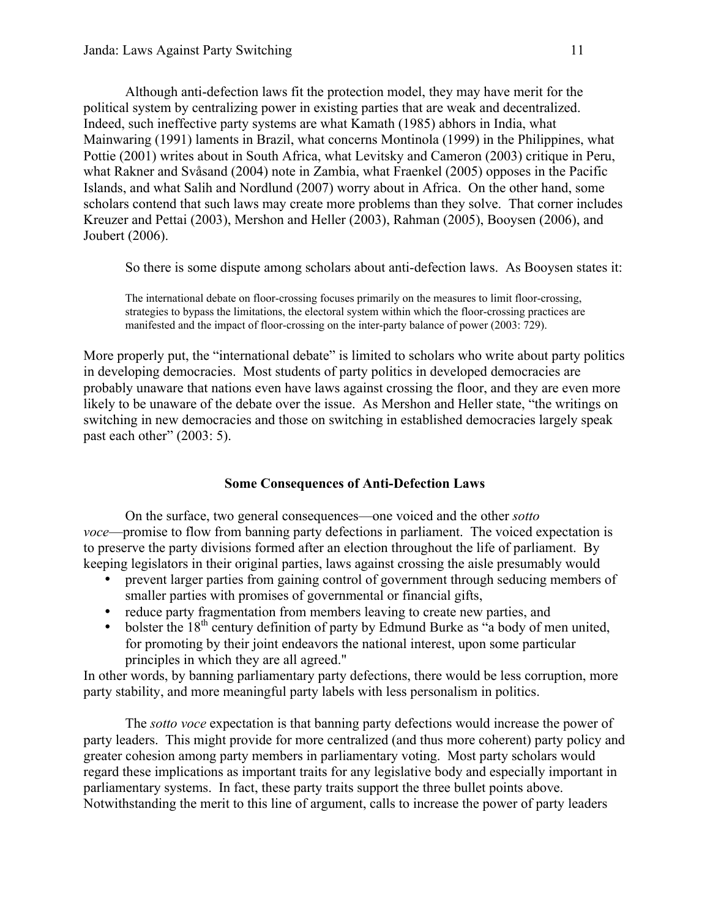Although anti-defection laws fit the protection model, they may have merit for the political system by centralizing power in existing parties that are weak and decentralized. Indeed, such ineffective party systems are what Kamath (1985) abhors in India, what Mainwaring (1991) laments in Brazil, what concerns Montinola (1999) in the Philippines, what Pottie (2001) writes about in South Africa, what Levitsky and Cameron (2003) critique in Peru, what Rakner and Svåsand (2004) note in Zambia, what Fraenkel (2005) opposes in the Pacific Islands, and what Salih and Nordlund (2007) worry about in Africa. On the other hand, some scholars contend that such laws may create more problems than they solve. That corner includes Kreuzer and Pettai (2003), Mershon and Heller (2003), Rahman (2005), Booysen (2006), and Joubert (2006).

So there is some dispute among scholars about anti-defection laws. As Booysen states it:

The international debate on floor-crossing focuses primarily on the measures to limit floor-crossing, strategies to bypass the limitations, the electoral system within which the floor-crossing practices are manifested and the impact of floor-crossing on the inter-party balance of power (2003: 729).

More properly put, the "international debate" is limited to scholars who write about party politics in developing democracies. Most students of party politics in developed democracies are probably unaware that nations even have laws against crossing the floor, and they are even more likely to be unaware of the debate over the issue. As Mershon and Heller state, "the writings on switching in new democracies and those on switching in established democracies largely speak past each other" (2003: 5).

# Some Consequences of Anti-Defection Laws

On the surface, two general consequences—one voiced and the other *sotto voce*—promise to flow from banning party defections in parliament. The voiced expectation is to preserve the party divisions formed after an election throughout the life of parliament. By keeping legislators in their original parties, laws against crossing the aisle presumably would

- prevent larger parties from gaining control of government through seducing members of smaller parties with promises of governmental or financial gifts,
- reduce party fragmentation from members leaving to create new parties, and
- bolster the  $18<sup>th</sup>$  century definition of party by Edmund Burke as "a body of men united, for promoting by their joint endeavors the national interest, upon some particular principles in which they are all agreed."

In other words, by banning parliamentary party defections, there would be less corruption, more party stability, and more meaningful party labels with less personalism in politics.

The *sotto voce* expectation is that banning party defections would increase the power of party leaders. This might provide for more centralized (and thus more coherent) party policy and greater cohesion among party members in parliamentary voting. Most party scholars would regard these implications as important traits for any legislative body and especially important in parliamentary systems. In fact, these party traits support the three bullet points above. Notwithstanding the merit to this line of argument, calls to increase the power of party leaders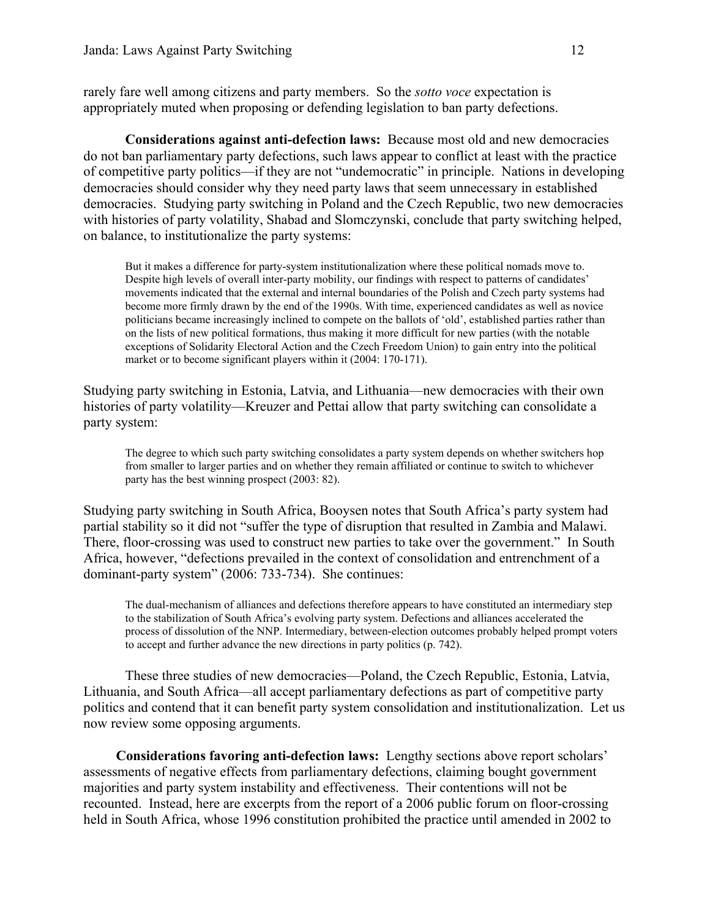rarely fare well among citizens and party members. So the *sotto voce* expectation is appropriately muted when proposing or defending legislation to ban party defections.

Considerations against anti-defection laws: Because most old and new democracies do not ban parliamentary party defections, such laws appear to conflict at least with the practice of competitive party politics—if they are not "undemocratic" in principle. Nations in developing democracies should consider why they need party laws that seem unnecessary in established democracies. Studying party switching in Poland and the Czech Republic, two new democracies with histories of party volatility, Shabad and Slomczynski, conclude that party switching helped, on balance, to institutionalize the party systems:

But it makes a difference for party-system institutionalization where these political nomads move to. Despite high levels of overall inter-party mobility, our findings with respect to patterns of candidates' movements indicated that the external and internal boundaries of the Polish and Czech party systems had become more firmly drawn by the end of the 1990s. With time, experienced candidates as well as novice politicians became increasingly inclined to compete on the ballots of 'old', established parties rather than on the lists of new political formations, thus making it more difficult for new parties (with the notable exceptions of Solidarity Electoral Action and the Czech Freedom Union) to gain entry into the political market or to become significant players within it (2004: 170-171).

Studying party switching in Estonia, Latvia, and Lithuania—new democracies with their own histories of party volatility—Kreuzer and Pettai allow that party switching can consolidate a party system:

The degree to which such party switching consolidates a party system depends on whether switchers hop from smaller to larger parties and on whether they remain affiliated or continue to switch to whichever party has the best winning prospect (2003: 82).

Studying party switching in South Africa, Booysen notes that South Africa's party system had partial stability so it did not "suffer the type of disruption that resulted in Zambia and Malawi. There, floor-crossing was used to construct new parties to take over the government." In South Africa, however, "defections prevailed in the context of consolidation and entrenchment of a dominant-party system" (2006: 733-734). She continues:

The dual-mechanism of alliances and defections therefore appears to have constituted an intermediary step to the stabilization of South Africa's evolving party system. Defections and alliances accelerated the process of dissolution of the NNP. Intermediary, between-election outcomes probably helped prompt voters to accept and further advance the new directions in party politics (p. 742).

These three studies of new democracies—Poland, the Czech Republic, Estonia, Latvia, Lithuania, and South Africa—all accept parliamentary defections as part of competitive party politics and contend that it can benefit party system consolidation and institutionalization. Let us now review some opposing arguments.

Considerations favoring anti-defection laws: Lengthy sections above report scholars' assessments of negative effects from parliamentary defections, claiming bought government majorities and party system instability and effectiveness. Their contentions will not be recounted. Instead, here are excerpts from the report of a 2006 public forum on floor-crossing held in South Africa, whose 1996 constitution prohibited the practice until amended in 2002 to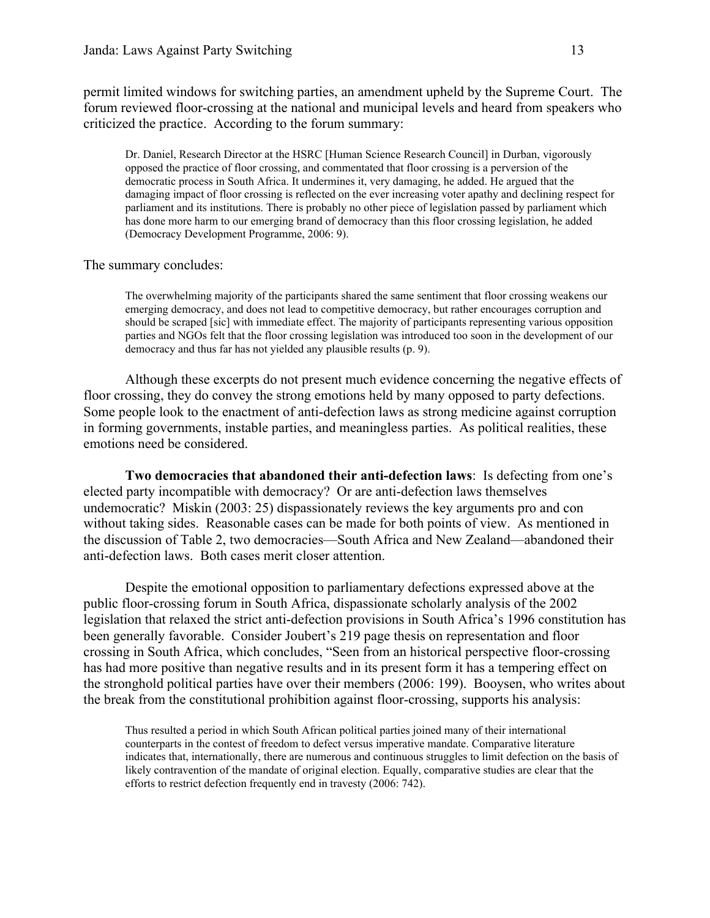permit limited windows for switching parties, an amendment upheld by the Supreme Court. The forum reviewed floor-crossing at the national and municipal levels and heard from speakers who criticized the practice. According to the forum summary:

Dr. Daniel, Research Director at the HSRC [Human Science Research Council] in Durban, vigorously opposed the practice of floor crossing, and commentated that floor crossing is a perversion of the democratic process in South Africa. It undermines it, very damaging, he added. He argued that the damaging impact of floor crossing is reflected on the ever increasing voter apathy and declining respect for parliament and its institutions. There is probably no other piece of legislation passed by parliament which has done more harm to our emerging brand of democracy than this floor crossing legislation, he added (Democracy Development Programme, 2006: 9).

### The summary concludes:

The overwhelming majority of the participants shared the same sentiment that floor crossing weakens our emerging democracy, and does not lead to competitive democracy, but rather encourages corruption and should be scraped [sic] with immediate effect. The majority of participants representing various opposition parties and NGOs felt that the floor crossing legislation was introduced too soon in the development of our democracy and thus far has not yielded any plausible results (p. 9).

Although these excerpts do not present much evidence concerning the negative effects of floor crossing, they do convey the strong emotions held by many opposed to party defections. Some people look to the enactment of anti-defection laws as strong medicine against corruption in forming governments, instable parties, and meaningless parties. As political realities, these emotions need be considered.

Two democracies that abandoned their anti-defection laws: Is defecting from one's elected party incompatible with democracy? Or are anti-defection laws themselves undemocratic? Miskin (2003: 25) dispassionately reviews the key arguments pro and con without taking sides. Reasonable cases can be made for both points of view. As mentioned in the discussion of Table 2, two democracies—South Africa and New Zealand—abandoned their anti-defection laws. Both cases merit closer attention.

Despite the emotional opposition to parliamentary defections expressed above at the public floor-crossing forum in South Africa, dispassionate scholarly analysis of the 2002 legislation that relaxed the strict anti-defection provisions in South Africa's 1996 constitution has been generally favorable. Consider Joubert's 219 page thesis on representation and floor crossing in South Africa, which concludes, "Seen from an historical perspective floor-crossing has had more positive than negative results and in its present form it has a tempering effect on the stronghold political parties have over their members (2006: 199). Booysen, who writes about the break from the constitutional prohibition against floor-crossing, supports his analysis:

Thus resulted a period in which South African political parties joined many of their international counterparts in the contest of freedom to defect versus imperative mandate. Comparative literature indicates that, internationally, there are numerous and continuous struggles to limit defection on the basis of likely contravention of the mandate of original election. Equally, comparative studies are clear that the efforts to restrict defection frequently end in travesty (2006: 742).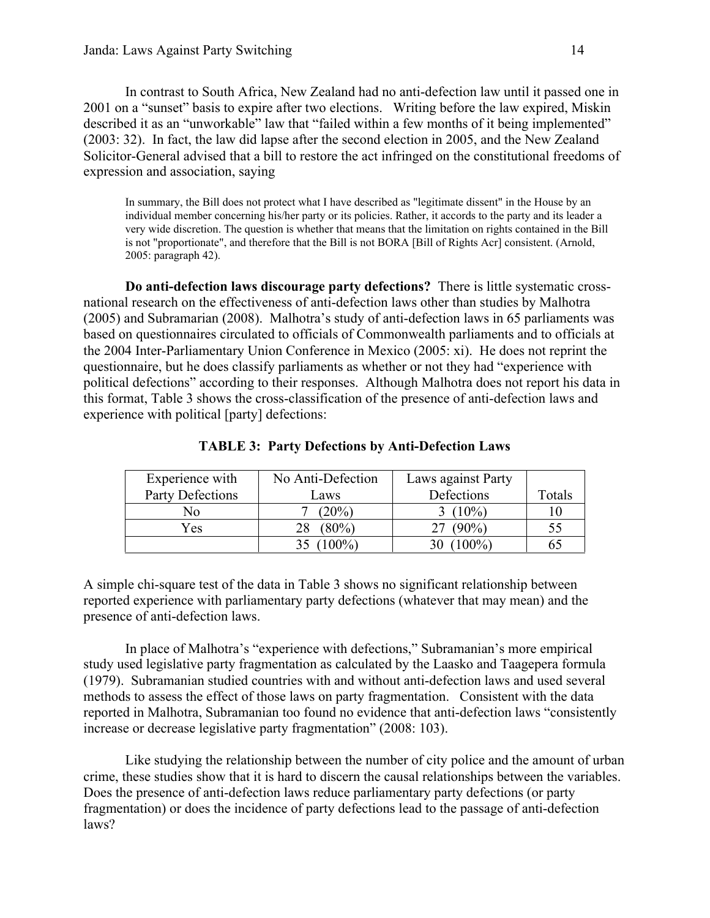In contrast to South Africa, New Zealand had no anti-defection law until it passed one in 2001 on a "sunset" basis to expire after two elections. Writing before the law expired, Miskin described it as an "unworkable" law that "failed within a few months of it being implemented" (2003: 32). In fact, the law did lapse after the second election in 2005, and the New Zealand Solicitor-General advised that a bill to restore the act infringed on the constitutional freedoms of expression and association, saying

In summary, the Bill does not protect what I have described as "legitimate dissent" in the House by an individual member concerning his/her party or its policies. Rather, it accords to the party and its leader a very wide discretion. The question is whether that means that the limitation on rights contained in the Bill is not "proportionate", and therefore that the Bill is not BORA [Bill of Rights Acr] consistent. (Arnold, 2005: paragraph 42).

Do anti-defection laws discourage party defections? There is little systematic crossnational research on the effectiveness of anti-defection laws other than studies by Malhotra (2005) and Subramarian (2008). Malhotra's study of anti-defection laws in 65 parliaments was based on questionnaires circulated to officials of Commonwealth parliaments and to officials at the 2004 Inter-Parliamentary Union Conference in Mexico (2005: xi). He does not reprint the questionnaire, but he does classify parliaments as whether or not they had "experience with political defections" according to their responses. Although Malhotra does not report his data in this format, Table 3 shows the cross-classification of the presence of anti-defection laws and experience with political [party] defections:

| Experience with  | No Anti-Defection | Laws against Party |        |
|------------------|-------------------|--------------------|--------|
| Party Defections | Laws              | Defections         | Totals |
| No               | $(20\%)$          | $(10\%)$           |        |
| Yes              | $(80\%)$          | $(90\%)$           | 55     |
|                  | $100\%$           | ን%)                |        |

TABLE 3: Party Defections by Anti-Defection Laws

A simple chi-square test of the data in Table 3 shows no significant relationship between reported experience with parliamentary party defections (whatever that may mean) and the presence of anti-defection laws.

In place of Malhotra's "experience with defections," Subramanian's more empirical study used legislative party fragmentation as calculated by the Laasko and Taagepera formula (1979). Subramanian studied countries with and without anti-defection laws and used several methods to assess the effect of those laws on party fragmentation. Consistent with the data reported in Malhotra, Subramanian too found no evidence that anti-defection laws "consistently increase or decrease legislative party fragmentation" (2008: 103).

Like studying the relationship between the number of city police and the amount of urban crime, these studies show that it is hard to discern the causal relationships between the variables. Does the presence of anti-defection laws reduce parliamentary party defections (or party fragmentation) or does the incidence of party defections lead to the passage of anti-defection laws?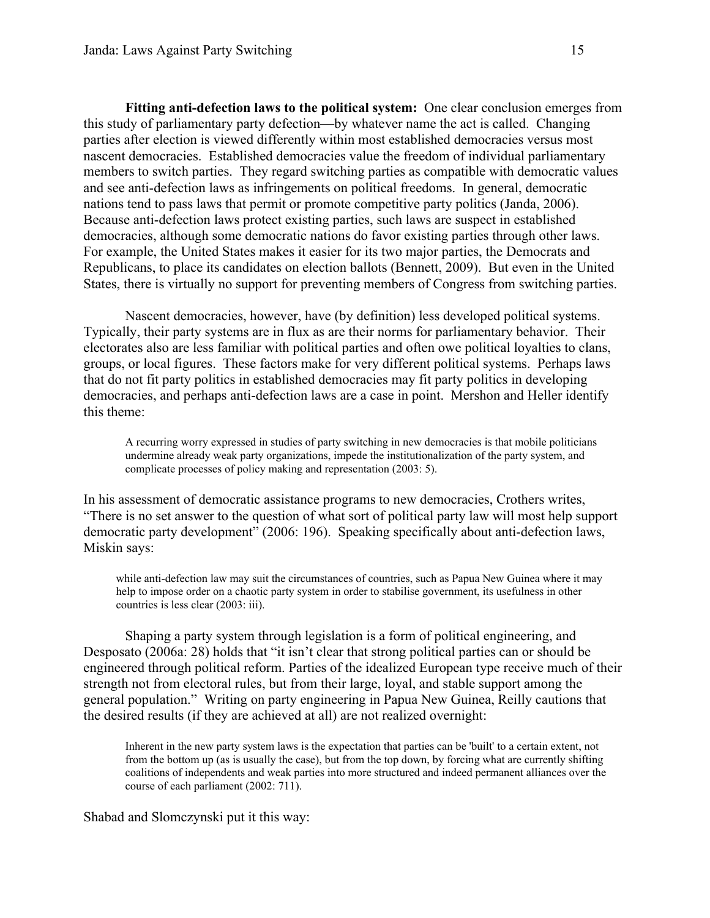Fitting anti-defection laws to the political system: One clear conclusion emerges from this study of parliamentary party defection—by whatever name the act is called. Changing parties after election is viewed differently within most established democracies versus most nascent democracies. Established democracies value the freedom of individual parliamentary members to switch parties. They regard switching parties as compatible with democratic values and see anti-defection laws as infringements on political freedoms. In general, democratic nations tend to pass laws that permit or promote competitive party politics (Janda, 2006). Because anti-defection laws protect existing parties, such laws are suspect in established democracies, although some democratic nations do favor existing parties through other laws. For example, the United States makes it easier for its two major parties, the Democrats and Republicans, to place its candidates on election ballots (Bennett, 2009). But even in the United States, there is virtually no support for preventing members of Congress from switching parties.

Nascent democracies, however, have (by definition) less developed political systems. Typically, their party systems are in flux as are their norms for parliamentary behavior. Their electorates also are less familiar with political parties and often owe political loyalties to clans, groups, or local figures. These factors make for very different political systems. Perhaps laws that do not fit party politics in established democracies may fit party politics in developing democracies, and perhaps anti-defection laws are a case in point. Mershon and Heller identify this theme:

A recurring worry expressed in studies of party switching in new democracies is that mobile politicians undermine already weak party organizations, impede the institutionalization of the party system, and complicate processes of policy making and representation (2003: 5).

In his assessment of democratic assistance programs to new democracies, Crothers writes, "There is no set answer to the question of what sort of political party law will most help support democratic party development" (2006: 196). Speaking specifically about anti-defection laws, Miskin says:

while anti-defection law may suit the circumstances of countries, such as Papua New Guinea where it may help to impose order on a chaotic party system in order to stabilise government, its usefulness in other countries is less clear (2003: iii).

Shaping a party system through legislation is a form of political engineering, and Desposato (2006a: 28) holds that "it isn't clear that strong political parties can or should be engineered through political reform. Parties of the idealized European type receive much of their strength not from electoral rules, but from their large, loyal, and stable support among the general population." Writing on party engineering in Papua New Guinea, Reilly cautions that the desired results (if they are achieved at all) are not realized overnight:

Inherent in the new party system laws is the expectation that parties can be 'built' to a certain extent, not from the bottom up (as is usually the case), but from the top down, by forcing what are currently shifting coalitions of independents and weak parties into more structured and indeed permanent alliances over the course of each parliament (2002: 711).

Shabad and Slomczynski put it this way: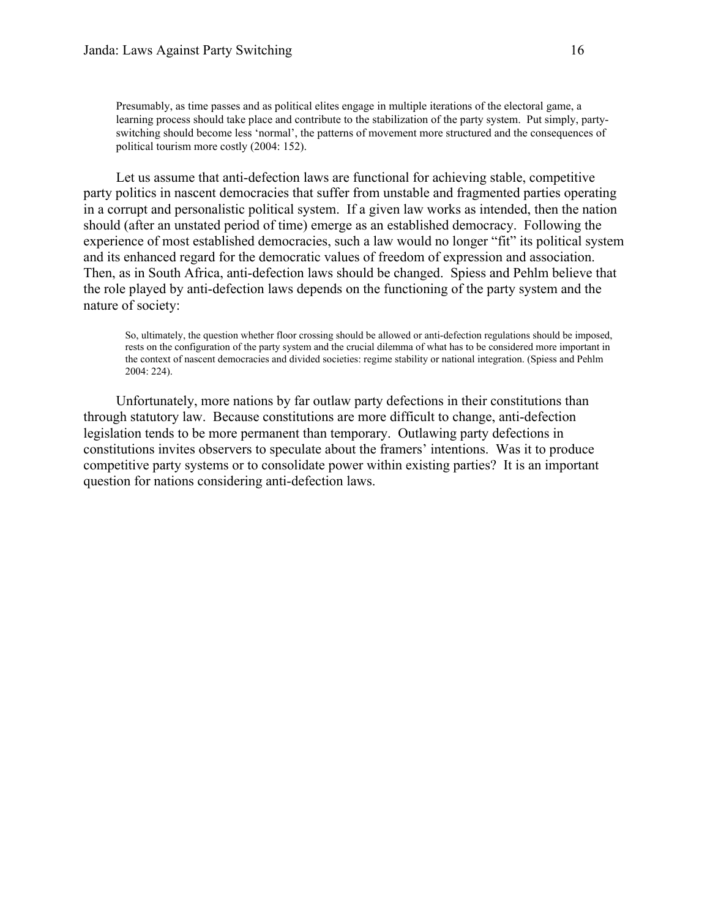Presumably, as time passes and as political elites engage in multiple iterations of the electoral game, a learning process should take place and contribute to the stabilization of the party system. Put simply, partyswitching should become less 'normal', the patterns of movement more structured and the consequences of political tourism more costly (2004: 152).

Let us assume that anti-defection laws are functional for achieving stable, competitive party politics in nascent democracies that suffer from unstable and fragmented parties operating in a corrupt and personalistic political system. If a given law works as intended, then the nation should (after an unstated period of time) emerge as an established democracy. Following the experience of most established democracies, such a law would no longer "fit" its political system and its enhanced regard for the democratic values of freedom of expression and association. Then, as in South Africa, anti-defection laws should be changed. Spiess and Pehlm believe that the role played by anti-defection laws depends on the functioning of the party system and the nature of society:

So, ultimately, the question whether floor crossing should be allowed or anti-defection regulations should be imposed, rests on the configuration of the party system and the crucial dilemma of what has to be considered more important in the context of nascent democracies and divided societies: regime stability or national integration. (Spiess and Pehlm 2004: 224).

Unfortunately, more nations by far outlaw party defections in their constitutions than through statutory law. Because constitutions are more difficult to change, anti-defection legislation tends to be more permanent than temporary. Outlawing party defections in constitutions invites observers to speculate about the framers' intentions. Was it to produce competitive party systems or to consolidate power within existing parties? It is an important question for nations considering anti-defection laws.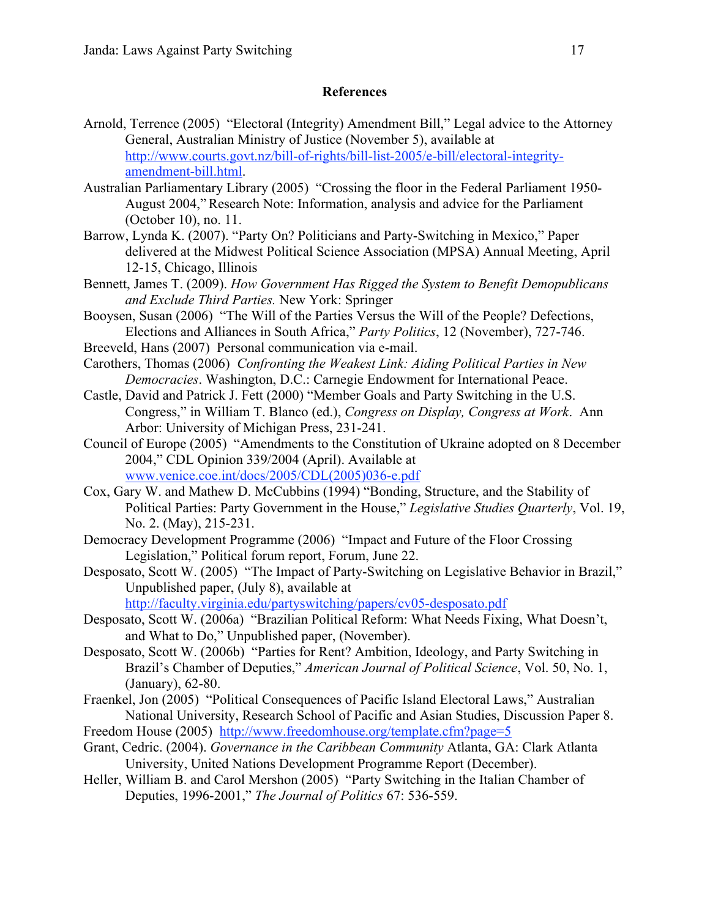# **References**

- Arnold, Terrence (2005) "Electoral (Integrity) Amendment Bill," Legal advice to the Attorney General, Australian Ministry of Justice (November 5), available at http://www.courts.govt.nz/bill-of-rights/bill-list-2005/e-bill/electoral-integrityamendment-bill.html.
- Australian Parliamentary Library (2005) "Crossing the floor in the Federal Parliament 1950- August 2004," Research Note: Information, analysis and advice for the Parliament (October 10), no. 11.
- Barrow, Lynda K. (2007). "Party On? Politicians and Party-Switching in Mexico," Paper delivered at the Midwest Political Science Association (MPSA) Annual Meeting, April 12-15, Chicago, Illinois
- Bennett, James T. (2009). *How Government Has Rigged the System to Benefit Demopublicans and Exclude Third Parties.* New York: Springer
- Booysen, Susan (2006) "The Will of the Parties Versus the Will of the People? Defections, Elections and Alliances in South Africa," *Party Politics*, 12 (November), 727-746.
- Breeveld, Hans (2007) Personal communication via e-mail.
- Carothers, Thomas (2006) *Confronting the Weakest Link: Aiding Political Parties in New Democracies*. Washington, D.C.: Carnegie Endowment for International Peace.
- Castle, David and Patrick J. Fett (2000) "Member Goals and Party Switching in the U.S. Congress," in William T. Blanco (ed.), *Congress on Display, Congress at Work*. Ann Arbor: University of Michigan Press, 231-241.
- Council of Europe (2005) "Amendments to the Constitution of Ukraine adopted on 8 December 2004," CDL Opinion 339/2004 (April). Available at www.venice.coe.int/docs/2005/CDL(2005)036-e.pdf
- Cox, Gary W. and Mathew D. McCubbins (1994) "Bonding, Structure, and the Stability of Political Parties: Party Government in the House," *Legislative Studies Quarterly*, Vol. 19, No. 2. (May), 215-231.
- Democracy Development Programme (2006) "Impact and Future of the Floor Crossing Legislation," Political forum report, Forum, June 22.
- Desposato, Scott W. (2005) "The Impact of Party-Switching on Legislative Behavior in Brazil," Unpublished paper, (July 8), available at

http://faculty.virginia.edu/partyswitching/papers/cv05-desposato.pdf

- Desposato, Scott W. (2006a) "Brazilian Political Reform: What Needs Fixing, What Doesn't, and What to Do," Unpublished paper, (November).
- Desposato, Scott W. (2006b) "Parties for Rent? Ambition, Ideology, and Party Switching in Brazil's Chamber of Deputies," *American Journal of Political Science*, Vol. 50, No. 1, (January), 62-80.
- Fraenkel, Jon (2005) "Political Consequences of Pacific Island Electoral Laws," Australian National University, Research School of Pacific and Asian Studies, Discussion Paper 8.
- Freedom House (2005) http://www.freedomhouse.org/template.cfm?page=5
- Grant, Cedric. (2004). *Governance in the Caribbean Community* Atlanta, GA: Clark Atlanta University, United Nations Development Programme Report (December).
- Heller, William B. and Carol Mershon (2005) "Party Switching in the Italian Chamber of Deputies, 1996-2001," *The Journal of Politics* 67: 536-559.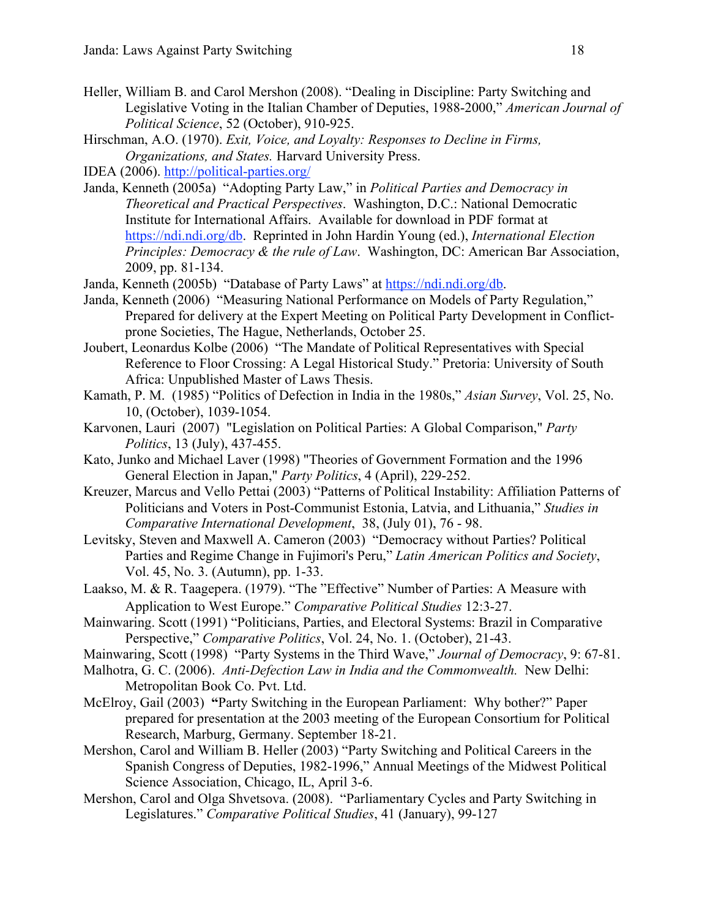- Heller, William B. and Carol Mershon (2008). "Dealing in Discipline: Party Switching and Legislative Voting in the Italian Chamber of Deputies, 1988-2000," *American Journal of Political Science*, 52 (October), 910-925.
- Hirschman, A.O. (1970). *Exit, Voice, and Loyalty: Responses to Decline in Firms, Organizations, and States.* Harvard University Press.

IDEA (2006). http://political-parties.org/

- Janda, Kenneth (2005a) "Adopting Party Law," in *Political Parties and Democracy in Theoretical and Practical Perspectives*. Washington, D.C.: National Democratic Institute for International Affairs. Available for download in PDF format at https://ndi.ndi.org/db. Reprinted in John Hardin Young (ed.), *International Election Principles: Democracy & the rule of Law*. Washington, DC: American Bar Association, 2009, pp. 81-134.
- Janda, Kenneth (2005b) "Database of Party Laws" at https://ndi.ndi.org/db.
- Janda, Kenneth (2006) "Measuring National Performance on Models of Party Regulation," Prepared for delivery at the Expert Meeting on Political Party Development in Conflictprone Societies, The Hague, Netherlands, October 25.
- Joubert, Leonardus Kolbe (2006) "The Mandate of Political Representatives with Special Reference to Floor Crossing: A Legal Historical Study." Pretoria: University of South Africa: Unpublished Master of Laws Thesis.
- Kamath, P. M. (1985) "Politics of Defection in India in the 1980s," *Asian Survey*, Vol. 25, No. 10, (October), 1039-1054.
- Karvonen, Lauri (2007) "Legislation on Political Parties: A Global Comparison," *Party Politics*, 13 (July), 437-455.
- Kato, Junko and Michael Laver (1998) "Theories of Government Formation and the 1996 General Election in Japan," *Party Politics*, 4 (April), 229-252.
- Kreuzer, Marcus and Vello Pettai (2003) "Patterns of Political Instability: Affiliation Patterns of Politicians and Voters in Post-Communist Estonia, Latvia, and Lithuania," *Studies in Comparative International Development*, 38, (July 01), 76 - 98.
- Levitsky, Steven and Maxwell A. Cameron (2003) "Democracy without Parties? Political Parties and Regime Change in Fujimori's Peru," *Latin American Politics and Society*, Vol. 45, No. 3. (Autumn), pp. 1-33.
- Laakso, M. & R. Taagepera. (1979). "The "Effective" Number of Parties: A Measure with Application to West Europe." *Comparative Political Studies* 12:3-27.
- Mainwaring. Scott (1991) "Politicians, Parties, and Electoral Systems: Brazil in Comparative Perspective," *Comparative Politics*, Vol. 24, No. 1. (October), 21-43.
- Mainwaring, Scott (1998) "Party Systems in the Third Wave," *Journal of Democracy*, 9: 67-81.
- Malhotra, G. C. (2006). *Anti-Defection Law in India and the Commonwealth.* New Delhi: Metropolitan Book Co. Pvt. Ltd.
- McElroy, Gail (2003) "Party Switching in the European Parliament: Why bother?" Paper prepared for presentation at the 2003 meeting of the European Consortium for Political Research, Marburg, Germany. September 18-21.
- Mershon, Carol and William B. Heller (2003) "Party Switching and Political Careers in the Spanish Congress of Deputies, 1982-1996," Annual Meetings of the Midwest Political Science Association, Chicago, IL, April 3-6.
- Mershon, Carol and Olga Shvetsova. (2008). "Parliamentary Cycles and Party Switching in Legislatures." *Comparative Political Studies*, 41 (January), 99-127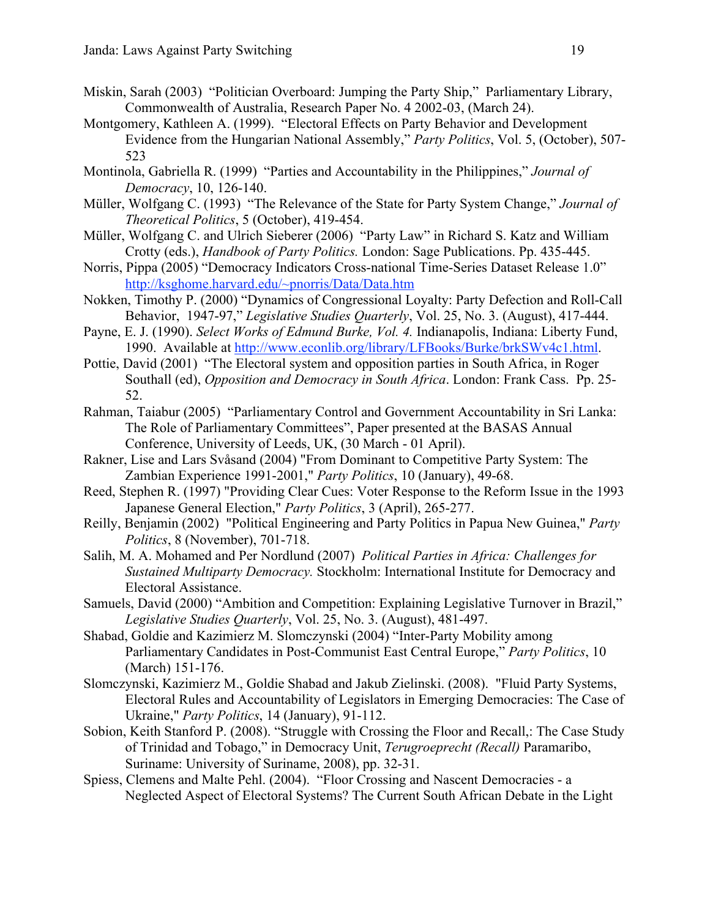- Miskin, Sarah (2003) "Politician Overboard: Jumping the Party Ship," Parliamentary Library, Commonwealth of Australia, Research Paper No. 4 2002-03, (March 24).
- Montgomery, Kathleen A. (1999). "Electoral Effects on Party Behavior and Development Evidence from the Hungarian National Assembly," *Party Politics*, Vol. 5, (October), 507- 523
- Montinola, Gabriella R. (1999) "Parties and Accountability in the Philippines," *Journal of Democracy*, 10, 126-140.
- Müller, Wolfgang C. (1993) "The Relevance of the State for Party System Change," *Journal of Theoretical Politics*, 5 (October), 419-454.
- Müller, Wolfgang C. and Ulrich Sieberer (2006) "Party Law" in Richard S. Katz and William Crotty (eds.), *Handbook of Party Politics.* London: Sage Publications. Pp. 435-445.
- Norris, Pippa (2005) "Democracy Indicators Cross-national Time-Series Dataset Release 1.0" http://ksghome.harvard.edu/~pnorris/Data/Data.htm
- Nokken, Timothy P. (2000) "Dynamics of Congressional Loyalty: Party Defection and Roll-Call Behavior, 1947-97," *Legislative Studies Quarterly*, Vol. 25, No. 3. (August), 417-444.
- Payne, E. J. (1990). *Select Works of Edmund Burke, Vol. 4.* Indianapolis, Indiana: Liberty Fund, 1990. Available at http://www.econlib.org/library/LFBooks/Burke/brkSWv4c1.html.
- Pottie, David (2001) "The Electoral system and opposition parties in South Africa, in Roger Southall (ed), *Opposition and Democracy in South Africa*. London: Frank Cass. Pp. 25- 52.
- Rahman, Taiabur (2005) "Parliamentary Control and Government Accountability in Sri Lanka: The Role of Parliamentary Committees", Paper presented at the BASAS Annual Conference, University of Leeds, UK, (30 March - 01 April).
- Rakner, Lise and Lars Svåsand (2004) "From Dominant to Competitive Party System: The Zambian Experience 1991-2001," *Party Politics*, 10 (January), 49-68.
- Reed, Stephen R. (1997) "Providing Clear Cues: Voter Response to the Reform Issue in the 1993 Japanese General Election," *Party Politics*, 3 (April), 265-277.
- Reilly, Benjamin (2002) "Political Engineering and Party Politics in Papua New Guinea," *Party Politics*, 8 (November), 701-718.
- Salih, M. A. Mohamed and Per Nordlund (2007) *Political Parties in Africa: Challenges for Sustained Multiparty Democracy.* Stockholm: International Institute for Democracy and Electoral Assistance.
- Samuels, David (2000) "Ambition and Competition: Explaining Legislative Turnover in Brazil," *Legislative Studies Quarterly*, Vol. 25, No. 3. (August), 481-497.
- Shabad, Goldie and Kazimierz M. Slomczynski (2004) "Inter-Party Mobility among Parliamentary Candidates in Post-Communist East Central Europe," *Party Politics*, 10 (March) 151-176.
- Slomczynski, Kazimierz M., Goldie Shabad and Jakub Zielinski. (2008). "Fluid Party Systems, Electoral Rules and Accountability of Legislators in Emerging Democracies: The Case of Ukraine," *Party Politics*, 14 (January), 91-112.
- Sobion, Keith Stanford P. (2008). "Struggle with Crossing the Floor and Recall,: The Case Study of Trinidad and Tobago," in Democracy Unit, *Terugroeprecht (Recall)* Paramaribo, Suriname: University of Suriname, 2008), pp. 32-31.
- Spiess, Clemens and Malte Pehl. (2004). "Floor Crossing and Nascent Democracies a Neglected Aspect of Electoral Systems? The Current South African Debate in the Light